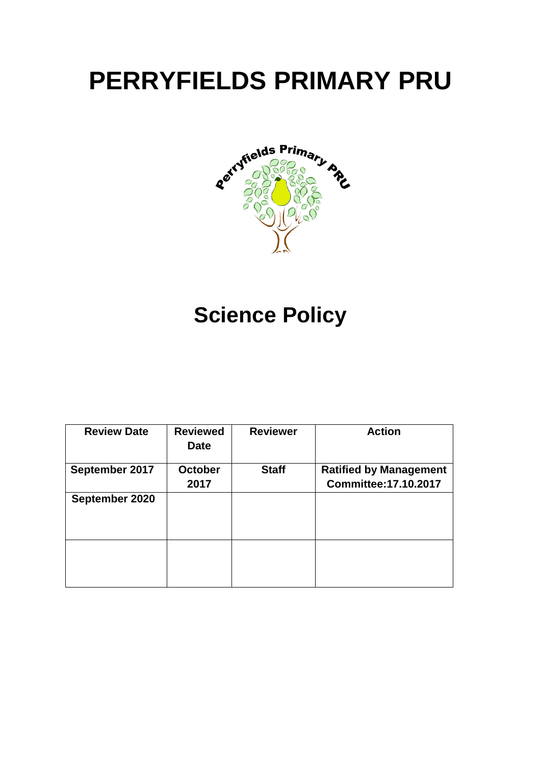# **PERRYFIELDS PRIMARY PRU**



## **Science Policy**

| <b>Review Date</b> | <b>Reviewed</b><br><b>Date</b> | <b>Reviewer</b> | <b>Action</b>                 |
|--------------------|--------------------------------|-----------------|-------------------------------|
| September 2017     | <b>October</b>                 | <b>Staff</b>    | <b>Ratified by Management</b> |
|                    | 2017                           |                 | <b>Committee: 17.10.2017</b>  |
| September 2020     |                                |                 |                               |
|                    |                                |                 |                               |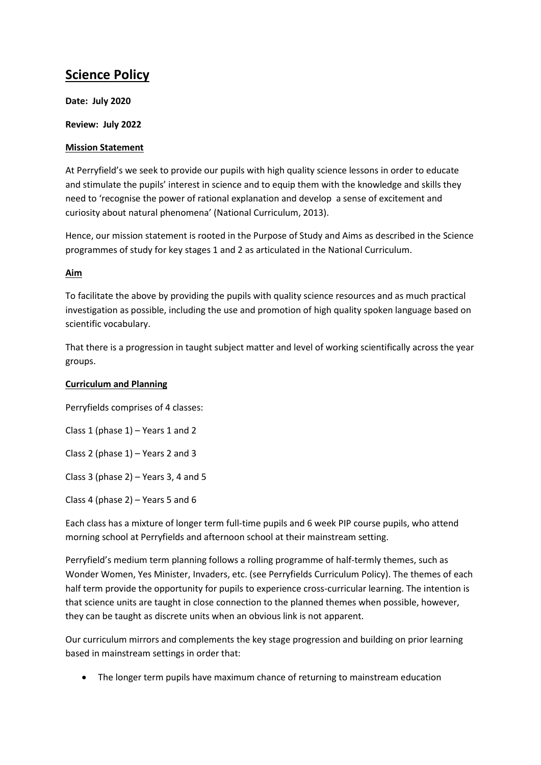### **Science Policy**

**Date: July 2020**

**Review: July 2022**

#### **Mission Statement**

At Perryfield's we seek to provide our pupils with high quality science lessons in order to educate and stimulate the pupils' interest in science and to equip them with the knowledge and skills they need to 'recognise the power of rational explanation and develop a sense of excitement and curiosity about natural phenomena' (National Curriculum, 2013).

Hence, our mission statement is rooted in the Purpose of Study and Aims as described in the Science programmes of study for key stages 1 and 2 as articulated in the National Curriculum.

#### **Aim**

To facilitate the above by providing the pupils with quality science resources and as much practical investigation as possible, including the use and promotion of high quality spoken language based on scientific vocabulary.

That there is a progression in taught subject matter and level of working scientifically across the year groups.

#### **Curriculum and Planning**

Perryfields comprises of 4 classes:

Class 1 (phase  $1$ ) – Years 1 and 2

Class 2 (phase 1) – Years 2 and 3

Class 3 (phase  $2$ ) – Years 3, 4 and 5

Class 4 (phase 2) – Years 5 and 6

Each class has a mixture of longer term full-time pupils and 6 week PIP course pupils, who attend morning school at Perryfields and afternoon school at their mainstream setting.

Perryfield's medium term planning follows a rolling programme of half-termly themes, such as Wonder Women, Yes Minister, Invaders, etc. (see Perryfields Curriculum Policy). The themes of each half term provide the opportunity for pupils to experience cross-curricular learning. The intention is that science units are taught in close connection to the planned themes when possible, however, they can be taught as discrete units when an obvious link is not apparent.

Our curriculum mirrors and complements the key stage progression and building on prior learning based in mainstream settings in order that:

The longer term pupils have maximum chance of returning to mainstream education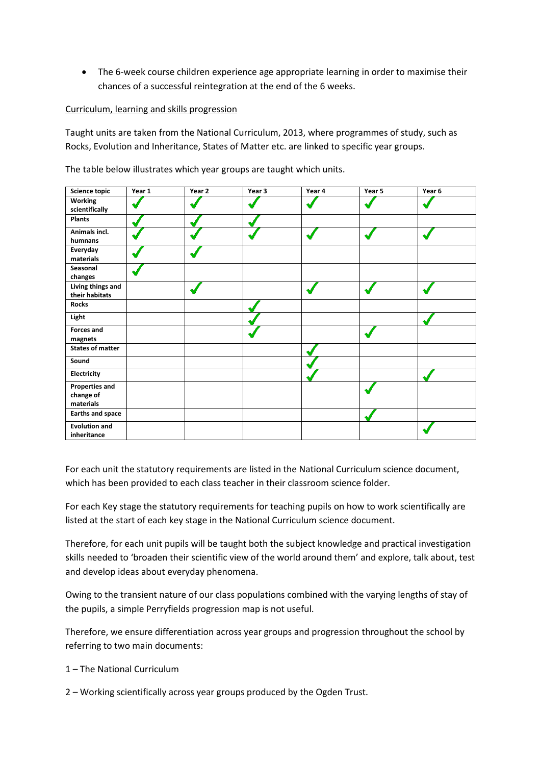The 6-week course children experience age appropriate learning in order to maximise their chances of a successful reintegration at the end of the 6 weeks.

#### Curriculum, learning and skills progression

Taught units are taken from the National Curriculum, 2013, where programmes of study, such as Rocks, Evolution and Inheritance, States of Matter etc. are linked to specific year groups.

The table below illustrates which year groups are taught which units.

| <b>Science topic</b>                            | Year 1 | Year 2 | Year 3 | Year 4 | Year 5 | Year 6 |
|-------------------------------------------------|--------|--------|--------|--------|--------|--------|
| Working<br>scientifically                       |        |        |        |        |        |        |
| <b>Plants</b>                                   |        |        |        |        |        |        |
| Animals incl.<br>humnans                        |        |        |        |        |        |        |
| Everyday<br>materials                           |        |        |        |        |        |        |
| Seasonal<br>changes                             |        |        |        |        |        |        |
| Living things and<br>their habitats             |        |        |        |        |        |        |
| <b>Rocks</b>                                    |        |        |        |        |        |        |
| Light                                           |        |        |        |        |        |        |
| <b>Forces and</b><br>magnets                    |        |        |        |        |        |        |
| <b>States of matter</b>                         |        |        |        |        |        |        |
| Sound                                           |        |        |        |        |        |        |
| Electricity                                     |        |        |        |        |        |        |
| <b>Properties and</b><br>change of<br>materials |        |        |        |        |        |        |
| <b>Earths and space</b>                         |        |        |        |        |        |        |
| <b>Evolution and</b><br>inheritance             |        |        |        |        |        |        |

For each unit the statutory requirements are listed in the National Curriculum science document, which has been provided to each class teacher in their classroom science folder.

For each Key stage the statutory requirements for teaching pupils on how to work scientifically are listed at the start of each key stage in the National Curriculum science document.

Therefore, for each unit pupils will be taught both the subject knowledge and practical investigation skills needed to 'broaden their scientific view of the world around them' and explore, talk about, test and develop ideas about everyday phenomena.

Owing to the transient nature of our class populations combined with the varying lengths of stay of the pupils, a simple Perryfields progression map is not useful.

Therefore, we ensure differentiation across year groups and progression throughout the school by referring to two main documents:

- 1 The National Curriculum
- 2 Working scientifically across year groups produced by the Ogden Trust.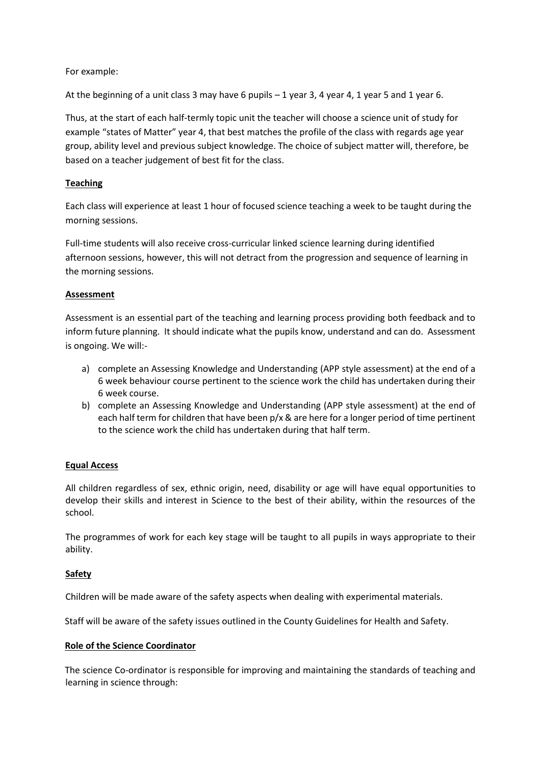For example:

At the beginning of a unit class 3 may have 6 pupils – 1 year 3, 4 year 4, 1 year 5 and 1 year 6.

Thus, at the start of each half-termly topic unit the teacher will choose a science unit of study for example "states of Matter" year 4, that best matches the profile of the class with regards age year group, ability level and previous subject knowledge. The choice of subject matter will, therefore, be based on a teacher judgement of best fit for the class.

#### **Teaching**

Each class will experience at least 1 hour of focused science teaching a week to be taught during the morning sessions.

Full-time students will also receive cross-curricular linked science learning during identified afternoon sessions, however, this will not detract from the progression and sequence of learning in the morning sessions.

#### **Assessment**

Assessment is an essential part of the teaching and learning process providing both feedback and to inform future planning. It should indicate what the pupils know, understand and can do. Assessment is ongoing. We will:-

- a) complete an Assessing Knowledge and Understanding (APP style assessment) at the end of a 6 week behaviour course pertinent to the science work the child has undertaken during their 6 week course.
- b) complete an Assessing Knowledge and Understanding (APP style assessment) at the end of each half term for children that have been  $p/x$  & are here for a longer period of time pertinent to the science work the child has undertaken during that half term.

#### **Equal Access**

All children regardless of sex, ethnic origin, need, disability or age will have equal opportunities to develop their skills and interest in Science to the best of their ability, within the resources of the school.

The programmes of work for each key stage will be taught to all pupils in ways appropriate to their ability.

#### **Safety**

Children will be made aware of the safety aspects when dealing with experimental materials.

Staff will be aware of the safety issues outlined in the County Guidelines for Health and Safety.

#### **Role of the Science Coordinator**

The science Co-ordinator is responsible for improving and maintaining the standards of teaching and learning in science through: